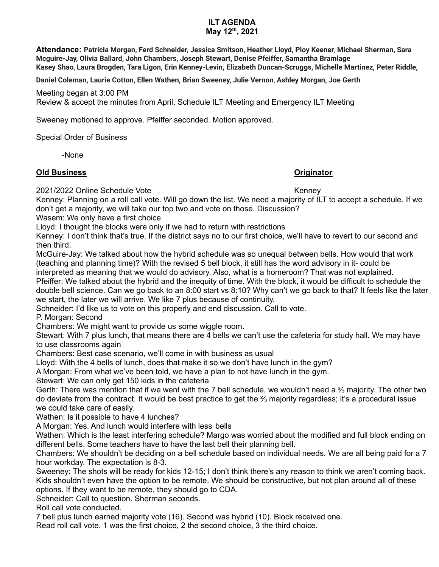# **ILT AGENDA**

### **May 12 th , 2021**

**Attendance: Patricia Morgan, Ferd Schneider, Jessica Smitson, Heather Lloyd, Ploy Keener, Michael Sherman, Sara Mcguire-Jay, Olivia Ballard, John Chambers, Joseph Stewart, Denise Pfeiffer, Samantha Bramlage Kasey Shao, Laura Brogden, Tara Ligon, Erin Kenney-Levin, Elizabeth Duncan-Scruggs, Michelle Martinez, Peter Riddle,**

**Daniel Coleman, Laurie Cotton, Ellen Wathen, Brian Sweeney, Julie Vernon, Ashley Morgan, Joe Gerth**

Meeting began at 3:00 PM Review & accept the minutes from April, Schedule ILT Meeting and Emergency ILT Meeting

Sweeney motioned to approve. Pfeiffer seconded. Motion approved.

Special Order of Business

-None

### **Old Business Originator**

2021/2022 Online Schedule Vote Kenney

Kenney: Planning on a roll call vote. Will go down the list. We need a majority of ILT to accept a schedule. If we don't get a majority, we will take our top two and vote on those. Discussion?

Wasem: We only have a first choice

Lloyd: I thought the blocks were only if we had to return with restrictions

Kenney: I don't think that's true. If the district says no to our first choice, we'll have to revert to our second and then third.

McGuire-Jay: We talked about how the hybrid schedule was so unequal between bells. How would that work (teaching and planning time)? With the revised 5 bell block, it still has the word advisory in it- could be

interpreted as meaning that we would do advisory. Also, what is a homeroom? That was not explained. Pfeiffer: We talked about the hybrid and the inequity of time. With the block, it would be difficult to schedule the double bell science. Can we go back to an 8:00 start vs 8:10? Why can't we go back to that? It feels like the later we start, the later we will arrive. We like 7 plus because of continuity.

Schneider: I'd like us to vote on this properly and end discussion. Call to vote.

P. Morgan: Second

Chambers: We might want to provide us some wiggle room.

Stewart: With 7 plus lunch, that means there are 4 bells we can't use the cafeteria for study hall. We may have to use classrooms again

Chambers: Best case scenario, we'll come in with business as usual

Lloyd: With the 4 bells of lunch, does that make it so we don't have lunch in the gym?

A Morgan: From what we've been told, we have a plan to not have lunch in the gym.

Stewart: We can only get 150 kids in the cafeteria

Gerth: There was mention that if we went with the 7 bell schedule, we wouldn't need a ⅔ majority. The other two do deviate from the contract. It would be best practice to get the ⅔ majority regardless; it's a procedural issue we could take care of easily.

Wathen: Is it possible to have 4 lunches?

A Morgan: Yes. And lunch would interfere with less bells

Wathen: Which is the least interfering schedule? Margo was worried about the modified and full block ending on different bells. Some teachers have to have the last bell their planning bell.

Chambers: We shouldn't be deciding on a bell schedule based on individual needs. We are all being paid for a 7 hour workday. The expectation is 8-3.

Sweeney: The shots will be ready for kids 12-15; I don't think there's any reason to think we aren't coming back. Kids shouldn't even have the option to be remote. We should be constructive, but not plan around all of these options. If they want to be remote, they should go to CDA.

Schneider: Call to question. Sherman seconds.

Roll call vote conducted.

7 bell plus lunch earned majority vote (16). Second was hybrid (10). Block received one.

Read roll call vote. 1 was the first choice, 2 the second choice, 3 the third choice.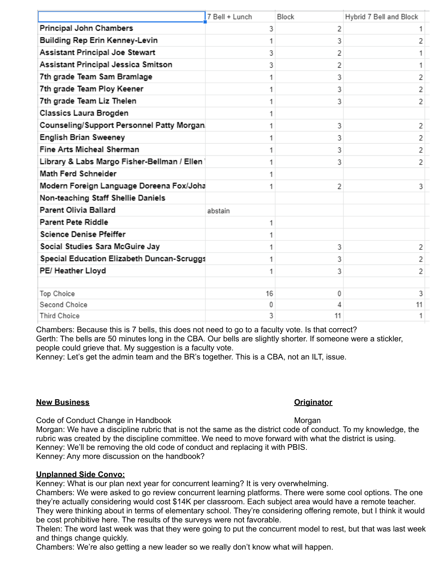|                                             | 7 Bell + Lunch | <b>Block</b> | Hybrid 7 Bell and Block |
|---------------------------------------------|----------------|--------------|-------------------------|
| Principal John Chambers                     | 3              | 2            |                         |
| Building Rep Erin Kenney-Levin              | 1              | 3            | 2                       |
| <b>Assistant Principal Joe Stewart</b>      | 3              | 2            |                         |
| Assistant Principal Jessica Smitson         | 3              | 2            |                         |
| 7th grade Team Sam Bramlage                 |                | 3            | 2                       |
| 7th grade Team Ploy Keener                  | 1              | 3            | 2                       |
| 7th grade Team Liz Thelen                   | 1              | 3            | 2                       |
| Classics Laura Brogden                      | 1              |              |                         |
| Counseling/Support Personnel Patty Morgan   | 1              | 3            | 2                       |
| <b>English Brian Sweeney</b>                | 1              | 3            | 2                       |
| Fine Arts Micheal Sherman                   | 1              | 3            | 2                       |
| Library & Labs Margo Fisher-Bellman / Ellen | 1              | 3            | 2                       |
| Math Ferd Schneider                         | 1              |              |                         |
| Modern Foreign Language Doreena Fox/Joha    | 1              | 2            | 3                       |
| Non-teaching Staff Shellie Daniels          |                |              |                         |
| Parent Olivia Ballard                       | abstain        |              |                         |
| Parent Pete Riddle                          | 1              |              |                         |
| Science Denise Pfeiffer                     |                |              |                         |
| Social Studies Sara McGuire Jay             | 1              | 3            | 2                       |
| Special Education Elizabeth Duncan-Scruggs  | 1              | 3            | 2                       |
| PE/ Heather Lloyd                           | 1              | 3            | 2                       |
|                                             |                |              |                         |
| Top Choice                                  | 16             | 0            | 3                       |
| Second Choice                               | 0              | Δ            | 11                      |
| <b>Third Choice</b>                         | 3              | 11           | 1.                      |

Chambers: Because this is 7 bells, this does not need to go to a faculty vote. Is that correct? Gerth: The bells are 50 minutes long in the CBA. Our bells are slightly shorter. If someone were a stickler, people could grieve that. My suggestion is a faculty vote.

Kenney: Let's get the admin team and the BR's together. This is a CBA, not an ILT, issue.

### **New Business Originator**

Code of Conduct Change in Handbook **Morgan** Morgan

Morgan: We have a discipline rubric that is not the same as the district code of conduct. To my knowledge, the rubric was created by the discipline committee. We need to move forward with what the district is using. Kenney: We'll be removing the old code of conduct and replacing it with PBIS. Kenney: Any more discussion on the handbook?

## **Unplanned Side Convo:**

Kenney: What is our plan next year for concurrent learning? It is very overwhelming.

Chambers: We were asked to go review concurrent learning platforms. There were some cool options. The one they're actually considering would cost \$14K per classroom. Each subject area would have a remote teacher. They were thinking about in terms of elementary school. They're considering offering remote, but I think it would be cost prohibitive here. The results of the surveys were not favorable.

Thelen: The word last week was that they were going to put the concurrent model to rest, but that was last week and things change quickly.

Chambers: We're also getting a new leader so we really don't know what will happen.